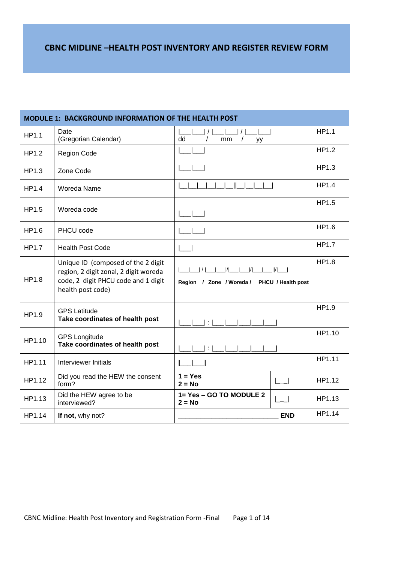| <b>MODULE 1: BACKGROUND INFORMATION OF THE HEALTH POST</b> |                                                                                                                                         |                                                                                                          |            |              |
|------------------------------------------------------------|-----------------------------------------------------------------------------------------------------------------------------------------|----------------------------------------------------------------------------------------------------------|------------|--------------|
| <b>HP1.1</b>                                               | Date<br>(Gregorian Calendar)                                                                                                            | dd<br>$\prime$<br>mm<br>уу                                                                               |            | <b>HP1.1</b> |
| <b>HP1.2</b>                                               | Region Code                                                                                                                             |                                                                                                          |            | <b>HP1.2</b> |
| HP1.3                                                      | Zone Code                                                                                                                               |                                                                                                          |            | <b>HP1.3</b> |
| HP1.4                                                      | Woreda Name                                                                                                                             |                                                                                                          |            | <b>HP1.4</b> |
| HP1.5                                                      | Woreda code                                                                                                                             |                                                                                                          |            | HP1.5        |
| <b>HP1.6</b>                                               | PHCU code                                                                                                                               |                                                                                                          |            | HP1.6        |
| <b>HP1.7</b>                                               | <b>Health Post Code</b>                                                                                                                 |                                                                                                          |            | <b>HP1.7</b> |
| <b>HP1.8</b>                                               | Unique ID (composed of the 2 digit<br>region, 2 digit zonal, 2 digit woreda<br>code, 2 digit PHCU code and 1 digit<br>health post code) | ____  /  _____ _____ / _____ ____ / _____ _____  / _____ <br>Region / Zone / Woreda / PHCU / Health post |            | HP1.8        |
| HP1.9                                                      | <b>GPS Latitude</b><br>Take coordinates of health post                                                                                  | $\pm$                                                                                                    |            | HP1.9        |
| HP1.10                                                     | <b>GPS Longitude</b><br>Take coordinates of health post                                                                                 | $\mathbb{C}^{\mathbb{C}}$                                                                                |            | HP1.10       |
| HP1.11                                                     | Interviewer Initials                                                                                                                    |                                                                                                          |            | HP1.11       |
| HP1.12                                                     | Did you read the HEW the consent<br>form?                                                                                               | $1 = Yes$<br>$2 = No$                                                                                    |            | HP1.12       |
| HP1.13                                                     | Did the HEW agree to be<br>interviewed?                                                                                                 | $1 = Yes - GO TO MODEL E2$<br>$2 = No$                                                                   |            | HP1.13       |
| HP1.14                                                     | If not, why not?                                                                                                                        |                                                                                                          | <b>END</b> | HP1.14       |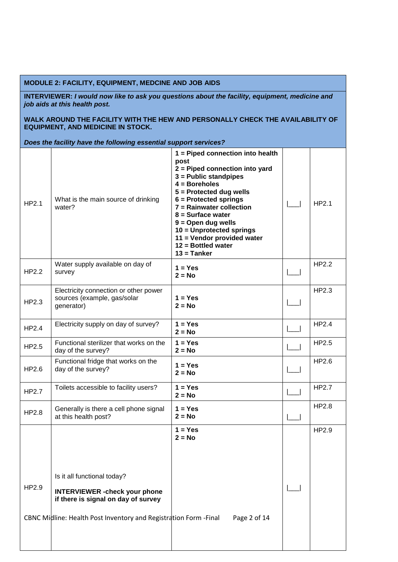## **MODULE 2: FACILITY, EQUIPMENT, MEDCINE AND JOB AIDS**

**INTERVIEWER:** *I would now like to ask you questions about the facility, equipment, medicine and job aids at this health post.* 

**WALK AROUND THE FACILITY WITH THE HEW AND PERSONALLY CHECK THE AVAILABILITY OF EQUIPMENT, AND MEDICINE IN STOCK.**

*Does the facility have the following essential support services?*

| HP2.1        | What is the main source of drinking<br>water?                                      | 1 = Piped connection into health<br>post<br>2 = Piped connection into yard<br>$3$ = Public standpipes<br>$4 = Boreholes$<br>5 = Protected dug wells<br>6 = Protected springs<br>7 = Rainwater collection<br>$8 =$ Surface water<br>$9 =$ Open dug wells<br>10 = Unprotected springs<br>11 = Vendor provided water<br>$12 =$ Bottled water<br>$13 =$ Tanker | HP2.1        |
|--------------|------------------------------------------------------------------------------------|------------------------------------------------------------------------------------------------------------------------------------------------------------------------------------------------------------------------------------------------------------------------------------------------------------------------------------------------------------|--------------|
| <b>HP2.2</b> | Water supply available on day of<br>survey                                         | $1 = Yes$<br>$2 = No$                                                                                                                                                                                                                                                                                                                                      | HP2.2        |
| HP2.3        | Electricity connection or other power<br>sources (example, gas/solar<br>generator) | $1 = Yes$<br>$2 = No$                                                                                                                                                                                                                                                                                                                                      | HP2.3        |
| HP2.4        | Electricity supply on day of survey?                                               | $1 = Yes$<br>$2 = No$                                                                                                                                                                                                                                                                                                                                      | HP2.4        |
| HP2.5        | Functional sterilizer that works on the<br>day of the survey?                      | $1 = Yes$<br>$2 = No$                                                                                                                                                                                                                                                                                                                                      | HP2.5        |
| HP2.6        | Functional fridge that works on the<br>day of the survey?                          | $1 = Yes$<br>$2 = No$                                                                                                                                                                                                                                                                                                                                      | HP2.6        |
| <b>HP2.7</b> | Toilets accessible to facility users?                                              | $1 = Yes$<br>$2 = No$                                                                                                                                                                                                                                                                                                                                      | <b>HP2.7</b> |
| HP2.8        | Generally is there a cell phone signal<br>at this health post?                     | $1 = Yes$<br>$2 = No$                                                                                                                                                                                                                                                                                                                                      | HP2.8        |
|              |                                                                                    | $1 = Yes$<br>$2 = No$                                                                                                                                                                                                                                                                                                                                      | HP2.9        |
| HP2.9        | Is it all functional today?                                                        |                                                                                                                                                                                                                                                                                                                                                            |              |
|              | <b>INTERVIEWER -check your phone</b><br>if there is signal on day of survey        |                                                                                                                                                                                                                                                                                                                                                            |              |
|              | CBNC Midline: Health Post Inventory and Registration Form - Final                  | Page 2 of 14                                                                                                                                                                                                                                                                                                                                               |              |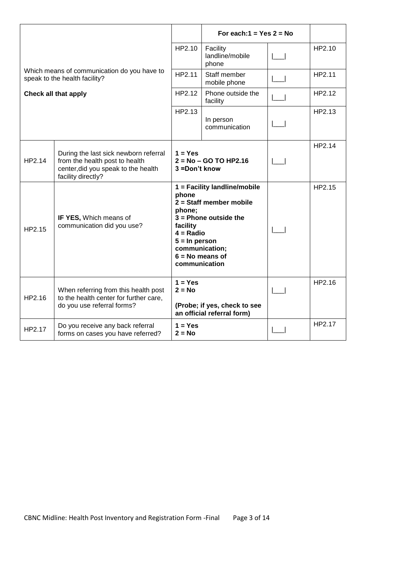|                                                                              |                                                                                                                                      |                                                                                                                                                                                                               | For each: $1 = Yes$ 2 = No                                 |  |        |
|------------------------------------------------------------------------------|--------------------------------------------------------------------------------------------------------------------------------------|---------------------------------------------------------------------------------------------------------------------------------------------------------------------------------------------------------------|------------------------------------------------------------|--|--------|
|                                                                              |                                                                                                                                      | HP2.10                                                                                                                                                                                                        | Facility<br>landline/mobile<br>phone                       |  | HP2.10 |
| Which means of communication do you have to<br>speak to the health facility? |                                                                                                                                      | HP2.11                                                                                                                                                                                                        | Staff member<br>mobile phone                               |  | HP2.11 |
| <b>Check all that apply</b>                                                  |                                                                                                                                      | HP2.12                                                                                                                                                                                                        | Phone outside the<br>facility                              |  | HP2.12 |
|                                                                              |                                                                                                                                      | HP2.13                                                                                                                                                                                                        | In person<br>communication                                 |  | HP2.13 |
| HP2.14                                                                       | During the last sick newborn referral<br>from the health post to health<br>center, did you speak to the health<br>facility directly? | $1 = Yes$                                                                                                                                                                                                     | $2 = No - GO TO HP2.16$<br>3 = Don't know                  |  | HP2.14 |
| HP2.15                                                                       | IF YES, Which means of<br>communication did you use?                                                                                 | 1 = Facility landline/mobile<br>phone<br>$2 =$ Staff member mobile<br>phone;<br>$3$ = Phone outside the<br>facility<br>$4 = Radio$<br>$5 = ln$ person<br>communication;<br>$6 = No$ means of<br>communication |                                                            |  | HP2.15 |
| HP2.16                                                                       | When referring from this health post<br>to the health center for further care,<br>do you use referral forms?                         | $1 = Yes$<br>$2 = No$                                                                                                                                                                                         | (Probe; if yes, check to see<br>an official referral form) |  | HP2.16 |
| HP2.17                                                                       | Do you receive any back referral<br>forms on cases you have referred?                                                                | $1 = Yes$<br>$2 = No$                                                                                                                                                                                         |                                                            |  | HP2.17 |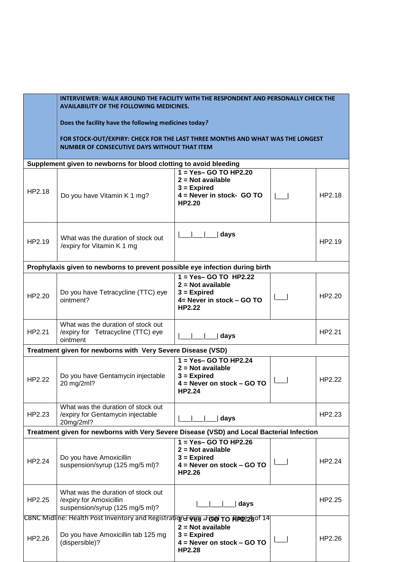|        | INTERVIEWER: WALK AROUND THE FACILITY WITH THE RESPONDENT AND PERSONALLY CHECK THE<br><b>AVAILABILITY OF THE FOLLOWING MEDICINES.</b>  |                                                                                                                  |  |        |  |
|--------|----------------------------------------------------------------------------------------------------------------------------------------|------------------------------------------------------------------------------------------------------------------|--|--------|--|
|        | Does the facility have the following medicines today?                                                                                  |                                                                                                                  |  |        |  |
|        | FOR STOCK-OUT/EXPIRY: CHECK FOR THE LAST THREE MONTHS AND WHAT WAS THE LONGEST<br><b>NUMBER OF CONSECUTIVE DAYS WITHOUT THAT ITEM</b>  |                                                                                                                  |  |        |  |
|        | Supplement given to newborns for blood clotting to avoid bleeding                                                                      |                                                                                                                  |  |        |  |
| HP2.18 | Do you have Vitamin K 1 mg?                                                                                                            | $1 = Yes - GO TO HP2.20$<br>$2 = Not available$<br>$3 =$ Expired<br>4 = Never in stock- GO TO<br><b>HP2.20</b>   |  | HP2.18 |  |
| HP2.19 | What was the duration of stock out<br>/expiry for Vitamin K 1 mg                                                                       | days                                                                                                             |  | HP2.19 |  |
|        | Prophylaxis given to newborns to prevent possible eye infection during birth                                                           |                                                                                                                  |  |        |  |
| HP2.20 | Do you have Tetracycline (TTC) eye<br>ointment?                                                                                        | $1 = Yes - GO TO HP2.22$<br>$2 = Not available$<br>$3 =$ Expired<br>4= Never in stock - GO TO<br><b>HP2.22</b>   |  | HP2.20 |  |
| HP2.21 | What was the duration of stock out<br>/expiry for Tetracycline (TTC) eye<br>ointment                                                   | days                                                                                                             |  | HP2.21 |  |
|        | Treatment given for newborns with Very Severe Disease (VSD)                                                                            |                                                                                                                  |  |        |  |
| HP2.22 | Do you have Gentamycin injectable<br>20 mg/2ml?                                                                                        | 1 = Yes- GO TO HP2.24<br>$2 = Not available$<br>$3 =$ Expired<br>$4 =$ Never on stock $-$ GO TO<br><b>HP2.24</b> |  | HP2.22 |  |
| HP2.23 | What was the duration of stock out<br>/expiry for Gentamycin injectable<br>20mg/2ml?                                                   | days                                                                                                             |  | HP2.23 |  |
|        | Treatment given for newborns with Very Severe Disease (VSD) and Local Bacterial Infection                                              |                                                                                                                  |  |        |  |
| HP2.24 | Do you have Amoxicillin<br>suspension/syrup (125 mg/5 ml)?                                                                             | $1 = Yes - GO TO HP2.26$<br>$2 = Not available$<br>$3 =$ Expired<br>$4 =$ Never on stock – GO TO<br>HP2.26       |  | HP2.24 |  |
| HP2.25 | What was the duration of stock out<br>/expiry for Amoxicillin<br>suspension/syrup (125 mg/5 ml)?                                       | days                                                                                                             |  | HP2.25 |  |
| HP2.26 | CBNC Midl ne: Health Post Inventory and Registration Fogs - Go TO AP2 28 of 14<br>Do you have Amoxicillin tab 125 mg<br>(dispersible)? | $2 = Not available$<br>$3 =$ Expired<br>$4 =$ Never on stock $-$ GO TO<br>HP2.28                                 |  | HP2.26 |  |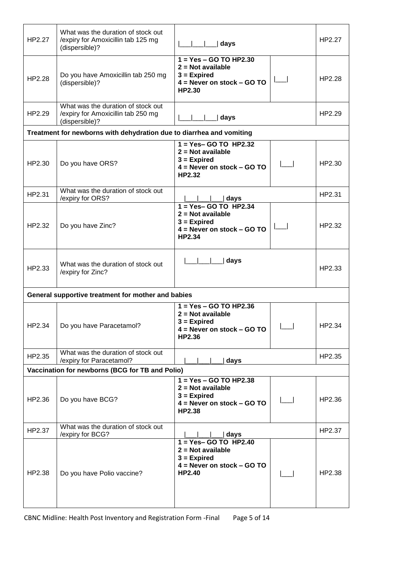| HP2.27 | What was the duration of stock out<br>/expiry for Amoxicillin tab 125 mg<br>(dispersible)? | days                                                                                                              | HP2.27 |
|--------|--------------------------------------------------------------------------------------------|-------------------------------------------------------------------------------------------------------------------|--------|
| HP2.28 | Do you have Amoxicillin tab 250 mg<br>(dispersible)?                                       | $1 = Yes - GO TO HP2.30$<br>$2 = Not available$<br>$3 =$ Expired<br>$4 =$ Never on stock – GO TO<br><b>HP2.30</b> | HP2.28 |
| HP2.29 | What was the duration of stock out<br>/expiry for Amoxicillin tab 250 mg<br>(dispersible)? | days                                                                                                              | HP2.29 |
|        | Treatment for newborns with dehydration due to diarrhea and vomiting                       |                                                                                                                   |        |
| HP2.30 | Do you have ORS?                                                                           | $1 = Yes - GO TO HP2.32$<br>$2 = Not available$<br>$3 =$ Expired<br>$4 =$ Never on stock $-$ GO TO<br>HP2.32      | HP2.30 |
| HP2.31 | What was the duration of stock out<br>/expiry for ORS?                                     | days                                                                                                              | HP2.31 |
| HP2.32 | Do you have Zinc?                                                                          | $1 = Yes - GO TO HP2.34$<br>$2 = Not available$<br>$3 =$ Expired<br>$4 =$ Never on stock – GO TO<br>HP2.34        | HP2.32 |
| HP2.33 | What was the duration of stock out<br>/expiry for Zinc?                                    | days                                                                                                              | HP2.33 |
|        | General supportive treatment for mother and babies                                         |                                                                                                                   |        |
| HP2.34 | Do you have Paracetamol?                                                                   | $1 = Yes - GO TO HP2.36$<br>$2 = Not available$<br>$3 =$ Expired<br>$4 =$ Never on stock – GO TO<br>HP2.36        | HP2.34 |
| HP2.35 | What was the duration of stock out<br>/expiry for Paracetamol?                             | days                                                                                                              | HP2.35 |
|        | Vaccination for newborns (BCG for TB and Polio)                                            |                                                                                                                   |        |
| HP2.36 | Do you have BCG?                                                                           | $1 = Yes - GO TO HP2.38$<br>$2 = Not available$<br>$3 =$ Expired<br>$4 =$ Never on stock – GO TO<br>HP2.38        | HP2.36 |
| HP2.37 | What was the duration of stock out<br>/expiry for BCG?                                     | days                                                                                                              | HP2.37 |
| HP2.38 | Do you have Polio vaccine?                                                                 | $1 = Yes - GO TO HP2.40$<br>$2 = Not available$<br>$3 =$ Expired<br>4 = Never on stock - GO TO<br>HP2.40          | HP2.38 |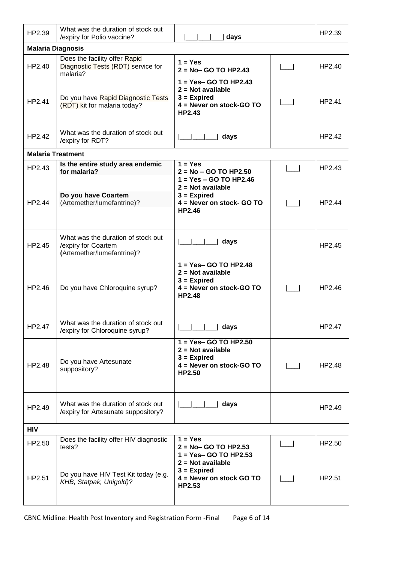| HP2.39     | What was the duration of stock out<br>/expiry for Polio vaccine?                        | days                                                                                                           | HP2.39 |
|------------|-----------------------------------------------------------------------------------------|----------------------------------------------------------------------------------------------------------------|--------|
|            | <b>Malaria Diagnosis</b>                                                                |                                                                                                                |        |
| HP2.40     | Does the facility offer Rapid<br>Diagnostic Tests (RDT) service for<br>malaria?         | $1 = Yes$<br>$2 = No - GO TO HP2.43$                                                                           | HP2.40 |
| HP2.41     | Do you have Rapid Diagnostic Tests<br>(RDT) kit for malaria today?                      | $1 = Yes - GO TO HP2.43$<br>$2 = Not available$<br>$3 =$ Expired<br>4 = Never on stock-GO TO<br><b>HP2.43</b>  | HP2.41 |
| HP2.42     | What was the duration of stock out<br>/expiry for RDT?                                  | days                                                                                                           | HP2.42 |
|            | <b>Malaria Treatment</b>                                                                |                                                                                                                |        |
| HP2.43     | Is the entire study area endemic<br>for malaria?                                        | $1 = Yes$<br>$2 = No - GO TO HP2.50$                                                                           | HP2.43 |
| HP2.44     | Do you have Coartem<br>(Artemether/lumefantrine)?                                       | $1 = Yes - GO TO HP2.46$<br>$2 = Not available$<br>$3 =$ Expired<br>4 = Never on stock- GO TO<br><b>HP2.46</b> | HP2.44 |
| HP2.45     | What was the duration of stock out<br>/expiry for Coartem<br>(Artemether/lumefantrine)? | days                                                                                                           | HP2.45 |
| HP2.46     | Do you have Chloroquine syrup?                                                          | $1 = Yes - GO TO HP2.48$<br>$2 = Not available$<br>$3 =$ Expired<br>4 = Never on stock-GO TO<br>HP2.48         | HP2.46 |
| HP2.47     | What was the duration of stock out<br>/expiry for Chloroquine syrup?                    | days                                                                                                           | HP2.47 |
| HP2.48     | Do you have Artesunate<br>suppository?                                                  | $1 = Yes - GO$ TO HP2.50<br>$2 = Not available$<br>$3 =$ Expired<br>4 = Never on stock-GO TO<br>HP2.50         | HP2.48 |
| HP2.49     | What was the duration of stock out<br>/expiry for Artesunate suppository?               | days                                                                                                           | HP2.49 |
| <b>HIV</b> |                                                                                         |                                                                                                                |        |
| HP2.50     | Does the facility offer HIV diagnostic<br>tests?                                        | $1 = Yes$<br>$2 = No - GO TO HP2.53$                                                                           | HP2.50 |
| HP2.51     | Do you have HIV Test Kit today (e.g.<br>KHB, Statpak, Unigold)?                         | $1 = Yes - GO TO HP2.53$<br>$2 = Not available$<br>$3 =$ Expired<br>4 = Never on stock GO TO<br>HP2.53         | HP2.51 |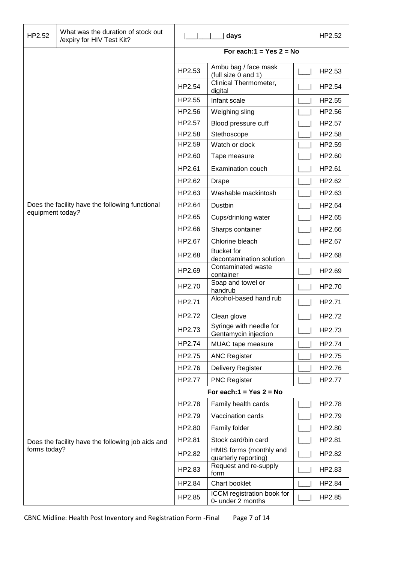| HP2.52           | What was the duration of stock out<br>/expiry for HIV Test Kit? | days<br>HP2.52             |                                                 |  |                                                          |  |
|------------------|-----------------------------------------------------------------|----------------------------|-------------------------------------------------|--|----------------------------------------------------------|--|
|                  |                                                                 |                            | For each: $1 = Yes$ 2 = No                      |  |                                                          |  |
|                  |                                                                 | HP2.53                     | Ambu bag / face mask<br>(full size 0 and 1)     |  | HP2.53                                                   |  |
|                  |                                                                 |                            | Clinical Thermometer,<br>digital                |  | HP2.54                                                   |  |
|                  |                                                                 | HP2.55                     | Infant scale                                    |  | HP2.55                                                   |  |
|                  |                                                                 | HP2.56                     | Weighing sling                                  |  | HP2.56                                                   |  |
|                  |                                                                 | HP2.57                     | Blood pressure cuff                             |  | HP2.57                                                   |  |
|                  |                                                                 | HP2.58                     | Stethoscope                                     |  | HP2.58                                                   |  |
|                  |                                                                 | HP2.59                     | Watch or clock                                  |  | HP2.59                                                   |  |
|                  |                                                                 | HP2.60                     | Tape measure                                    |  | HP2.60                                                   |  |
|                  |                                                                 | HP2.61                     | <b>Examination couch</b>                        |  | HP2.61                                                   |  |
|                  |                                                                 | HP2.62                     | Drape                                           |  | HP2.62                                                   |  |
|                  |                                                                 | HP2.63                     | Washable mackintosh                             |  | HP2.63                                                   |  |
|                  | Does the facility have the following functional                 | HP2.64                     | Dustbin                                         |  | HP2.64                                                   |  |
| equipment today? |                                                                 | HP2.65                     | Cups/drinking water                             |  | HP2.65                                                   |  |
|                  |                                                                 | HP2.66                     | Sharps container                                |  | HP2.66                                                   |  |
|                  |                                                                 | HP2.67                     | Chlorine bleach                                 |  | HP2.67                                                   |  |
|                  |                                                                 | HP2.68                     | <b>Bucket</b> for<br>decontamination solution   |  | HP2.68                                                   |  |
|                  |                                                                 |                            | Contaminated waste<br>container                 |  | HP2.69                                                   |  |
|                  |                                                                 | HP2.70                     | Soap and towel or<br>handrub                    |  | HP2.70                                                   |  |
|                  |                                                                 | HP2.71                     | Alcohol-based hand rub                          |  | HP2.71                                                   |  |
|                  |                                                                 | HP2.72                     | Clean glove                                     |  | HP2.72                                                   |  |
|                  |                                                                 | HP2.73                     | Syringe with needle for<br>Gentamycin injection |  | HP2.73<br>HP2.74<br>HP2.75<br>HP2.76<br>HP2.77<br>HP2.78 |  |
|                  |                                                                 | HP2.74                     | MUAC tape measure                               |  |                                                          |  |
|                  |                                                                 | HP2.75                     | <b>ANC Register</b>                             |  |                                                          |  |
|                  |                                                                 | HP2.76                     | Delivery Register                               |  |                                                          |  |
|                  |                                                                 | HP2.77                     | <b>PNC Register</b>                             |  |                                                          |  |
|                  |                                                                 | For each: $1 = Yes$ 2 = No |                                                 |  |                                                          |  |
|                  |                                                                 | HP2.78                     | Family health cards                             |  |                                                          |  |
|                  |                                                                 | HP2.79                     | Vaccination cards                               |  | HP2.79                                                   |  |
|                  |                                                                 | HP2.80                     | Family folder                                   |  | HP2.80                                                   |  |
|                  | Does the facility have the following job aids and               | HP2.81                     | Stock card/bin card                             |  | HP2.81                                                   |  |
| forms today?     |                                                                 | HP2.82                     | HMIS forms (monthly and<br>quarterly reporting) |  | HP2.82                                                   |  |
|                  |                                                                 | HP2.83                     | Request and re-supply<br>form                   |  | HP2.83                                                   |  |
|                  |                                                                 | HP2.84                     | Chart booklet                                   |  | HP2.84                                                   |  |
|                  |                                                                 | HP2.85                     | ICCM registration book for<br>0- under 2 months |  | HP2.85                                                   |  |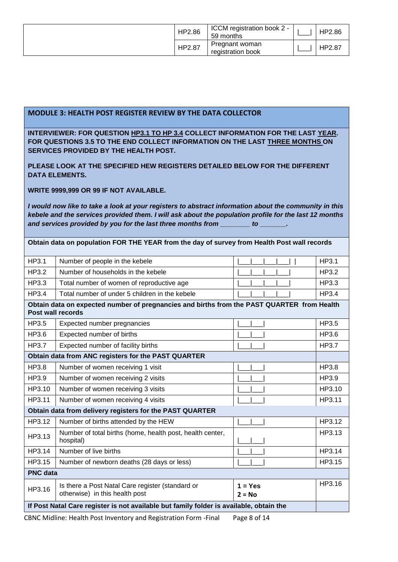| HP2.86 | ICCM registration book 2 -<br>59 months | HP2.86 |
|--------|-----------------------------------------|--------|
| HP2.87 | Pregnant woman<br>registration book     | HP2.87 |

## **MODULE 3: HEALTH POST REGISTER REVIEW BY THE DATA COLLECTOR**

**INTERVIEWER: FOR QUESTION HP3.1 TO HP 3.4 COLLECT INFORMATION FOR THE LAST YEAR. FOR QUESTIONS 3.5 TO THE END COLLECT INFORMATION ON THE LAST THREE MONTHS ON SERVICES PROVIDED BY THE HEALTH POST.** 

**PLEASE LOOK AT THE SPECIFIED HEW REGISTERS DETAILED BELOW FOR THE DIFFERENT DATA ELEMENTS.** 

**WRITE 9999,999 OR 99 IF NOT AVAILABLE.**

*I would now like to take a look at your registers to abstract information about the community in this kebele and the services provided them. I will ask about the population profile for the last 12 months and services provided by you for the last three months from \_\_\_\_\_\_\_\_ to \_\_\_\_\_\_\_.*

| Obtain data on population FOR THE YEAR from the day of survey from Health Post wall records                            |                                                                                         |                       |        |
|------------------------------------------------------------------------------------------------------------------------|-----------------------------------------------------------------------------------------|-----------------------|--------|
| HP3.1                                                                                                                  | Number of people in the kebele                                                          |                       | HP3.1  |
| HP3.2                                                                                                                  | Number of households in the kebele                                                      |                       | HP3.2  |
| HP3.3                                                                                                                  | Total number of women of reproductive age                                               |                       | HP3.3  |
| <b>HP3.4</b>                                                                                                           | Total number of under 5 children in the kebele                                          |                       | HP3.4  |
| Obtain data on expected number of pregnancies and births from the PAST QUARTER from Health<br><b>Post wall records</b> |                                                                                         |                       |        |
| HP3.5                                                                                                                  | Expected number pregnancies                                                             |                       | HP3.5  |
| HP3.6                                                                                                                  | Expected number of births                                                               |                       | HP3.6  |
| HP3.7                                                                                                                  | Expected number of facility births                                                      |                       | HP3.7  |
|                                                                                                                        | Obtain data from ANC registers for the PAST QUARTER                                     |                       |        |
| HP3.8                                                                                                                  | Number of women receiving 1 visit                                                       |                       | HP3.8  |
| HP3.9                                                                                                                  | Number of women receiving 2 visits                                                      |                       | HP3.9  |
| HP3.10                                                                                                                 | Number of women receiving 3 visits                                                      |                       | HP3.10 |
| HP3.11                                                                                                                 | Number of women receiving 4 visits                                                      |                       | HP3.11 |
|                                                                                                                        | Obtain data from delivery registers for the PAST QUARTER                                |                       |        |
| HP3.12                                                                                                                 | Number of births attended by the HEW                                                    |                       | HP3.12 |
| HP3.13                                                                                                                 | Number of total births (home, health post, health center,<br>hospital)                  |                       | HP3.13 |
| HP3.14                                                                                                                 | Number of live births                                                                   |                       | HP3.14 |
| HP3.15                                                                                                                 | Number of newborn deaths (28 days or less)                                              |                       | HP3.15 |
| <b>PNC</b> data                                                                                                        |                                                                                         |                       |        |
| HP3.16                                                                                                                 | Is there a Post Natal Care register (standard or<br>otherwise) in this health post      | $1 = Yes$<br>$2 = No$ | HP3.16 |
|                                                                                                                        | If Post Natal Care register is not available but family folder is available, obtain the |                       |        |

CBNC Midline: Health Post Inventory and Registration Form -Final Page 8 of 14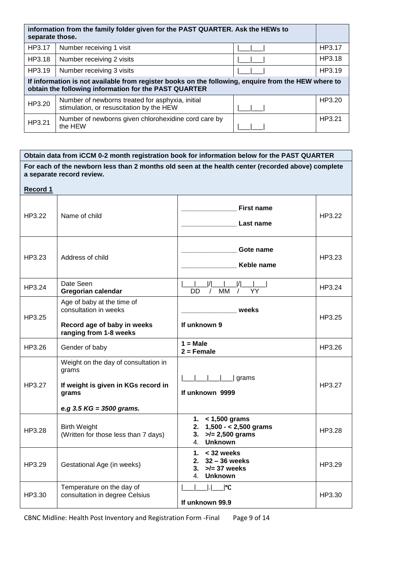|        | information from the family folder given for the PAST QUARTER. Ask the HEWs to<br>separate those.                                                            |  |        |  |  |
|--------|--------------------------------------------------------------------------------------------------------------------------------------------------------------|--|--------|--|--|
| HP3.17 | Number receiving 1 visit                                                                                                                                     |  | HP3.17 |  |  |
| HP3.18 | Number receiving 2 visits                                                                                                                                    |  | HP3.18 |  |  |
| HP3.19 | Number receiving 3 visits                                                                                                                                    |  | HP3.19 |  |  |
|        | If information is not available from register books on the following, enquire from the HEW where to<br>obtain the following information for the PAST QUARTER |  |        |  |  |
| HP3.20 | Number of newborns treated for asphyxia, initial<br>stimulation, or resuscitation by the HEW                                                                 |  | HP3.20 |  |  |
| HP3.21 | Number of newborns given chlorohexidine cord care by<br>the HEW                                                                                              |  | HP3.21 |  |  |

| Obtain data from iCCM 0-2 month registration book for information below for the PAST QUARTER |                                                                                                                             |                                                                                                     |        |  |  |
|----------------------------------------------------------------------------------------------|-----------------------------------------------------------------------------------------------------------------------------|-----------------------------------------------------------------------------------------------------|--------|--|--|
|                                                                                              | a separate record review.                                                                                                   | For each of the newborn less than 2 months old seen at the health center (recorded above) complete  |        |  |  |
| Record 1                                                                                     |                                                                                                                             |                                                                                                     |        |  |  |
| HP3.22                                                                                       | Name of child                                                                                                               | <b>First name</b><br>Last name                                                                      | HP3.22 |  |  |
| HP3.23                                                                                       | Address of child                                                                                                            | Gote name<br>Keble name                                                                             | HP3.23 |  |  |
| HP3.24                                                                                       | Date Seen<br>Gregorian calendar                                                                                             | <b>MM</b><br>YY<br>DD                                                                               | HP3.24 |  |  |
| HP3.25                                                                                       | Age of baby at the time of<br>consultation in weeks<br>Record age of baby in weeks<br>ranging from 1-8 weeks                | weeks<br>If unknown 9                                                                               | HP3.25 |  |  |
| HP3.26                                                                                       | Gender of baby                                                                                                              | $1 = Male$<br>$2 =$ Female                                                                          | HP3.26 |  |  |
| HP3.27                                                                                       | Weight on the day of consultation in<br>grams<br>If weight is given in KGs record in<br>grams<br>e.g $3.5$ KG = 3500 grams. | grams<br>If unknown 9999                                                                            | HP3.27 |  |  |
| HP3.28                                                                                       | <b>Birth Weight</b><br>(Written for those less than 7 days)                                                                 | 1. $< 1,500$ grams<br>$1,500 - 2,500$ grams<br>2.<br>$>= 2,500$ grams<br>3.<br><b>Unknown</b><br>4. | HP3.28 |  |  |
| HP3.29                                                                                       | Gestational Age (in weeks)                                                                                                  | < 32 weeks<br>1.<br>$32 - 36$ weeks<br>2.<br>$>= 37$ weeks<br>3.<br><b>Unknown</b><br>4.            | HP3.29 |  |  |
| HP3.30                                                                                       | Temperature on the day of<br>consultation in degree Celsius                                                                 | _l°C<br>If unknown 99.9                                                                             | HP3.30 |  |  |

CBNC Midline: Health Post Inventory and Registration Form -Final Page 9 of 14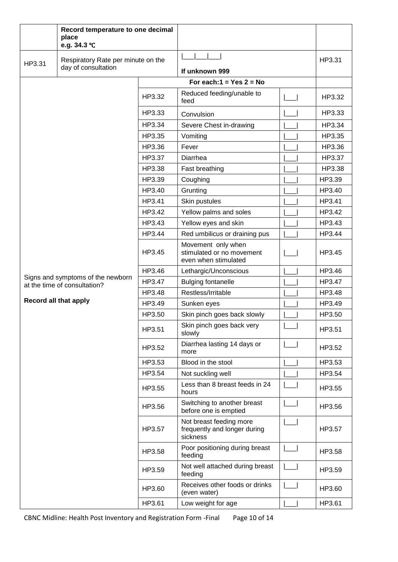|                                              | Record temperature to one decimal<br>place<br>e.g. 34.3 °C        |        |                                                                         |        |
|----------------------------------------------|-------------------------------------------------------------------|--------|-------------------------------------------------------------------------|--------|
| Respiratory Rate per minute on the<br>HP3.31 |                                                                   |        |                                                                         | HP3.31 |
|                                              | day of consultation                                               |        | If unknown 999                                                          |        |
|                                              |                                                                   |        | For each: $1 = Yes$ 2 = No                                              |        |
|                                              |                                                                   | HP3.32 | Reduced feeding/unable to<br>feed                                       | HP3.32 |
|                                              |                                                                   | HP3.33 | Convulsion                                                              | HP3.33 |
|                                              |                                                                   | HP3.34 | Severe Chest in-drawing                                                 | HP3.34 |
|                                              |                                                                   | HP3.35 | Vomiting                                                                | HP3.35 |
|                                              |                                                                   | HP3.36 | Fever                                                                   | HP3.36 |
|                                              |                                                                   | HP3.37 | Diarrhea                                                                | HP3.37 |
|                                              |                                                                   | HP3.38 | Fast breathing                                                          | HP3.38 |
|                                              |                                                                   |        | Coughing                                                                | HP3.39 |
|                                              |                                                                   | HP3.40 | Grunting                                                                | HP3.40 |
|                                              |                                                                   | HP3.41 | Skin pustules                                                           | HP3.41 |
|                                              |                                                                   |        | Yellow palms and soles                                                  | HP3.42 |
|                                              |                                                                   | HP3.43 | Yellow eyes and skin                                                    | HP3.43 |
|                                              |                                                                   | HP3.44 | Red umbilicus or draining pus                                           | HP3.44 |
|                                              |                                                                   | HP3.45 | Movement only when<br>stimulated or no movement<br>even when stimulated | HP3.45 |
|                                              |                                                                   | HP3.46 | Lethargic/Unconscious                                                   | HP3.46 |
|                                              | Signs and symptoms of the newborn<br>at the time of consultation? | HP3.47 | <b>Bulging fontanelle</b>                                               | HP3.47 |
|                                              |                                                                   | HP3.48 | Restless/Irritable                                                      | HP3.48 |
|                                              | Record all that apply                                             | HP3.49 | Sunken eyes                                                             | HP3.49 |
|                                              |                                                                   | HP3.50 | Skin pinch goes back slowly                                             | HP3.50 |
|                                              |                                                                   | HP3.51 | Skin pinch goes back very<br>slowly                                     | HP3.51 |
|                                              |                                                                   | HP3.52 | Diarrhea lasting 14 days or<br>more                                     | HP3.52 |
|                                              |                                                                   | HP3.53 | Blood in the stool                                                      | HP3.53 |
|                                              |                                                                   | HP3.54 | Not suckling well                                                       | HP3.54 |
|                                              |                                                                   | HP3.55 | Less than 8 breast feeds in 24<br>hours                                 | HP3.55 |
|                                              |                                                                   | HP3.56 | Switching to another breast<br>before one is emptied                    | HP3.56 |
|                                              |                                                                   | HP3.57 | Not breast feeding more<br>frequently and longer during<br>sickness     | HP3.57 |
|                                              |                                                                   | HP3.58 | Poor positioning during breast<br>feeding                               | HP3.58 |
|                                              |                                                                   | HP3.59 | Not well attached during breast<br>feeding                              | HP3.59 |
|                                              |                                                                   | HP3.60 | Receives other foods or drinks<br>(even water)                          | HP3.60 |
|                                              |                                                                   | HP3.61 | Low weight for age                                                      | HP3.61 |

CBNC Midline: Health Post Inventory and Registration Form -Final Page 10 of 14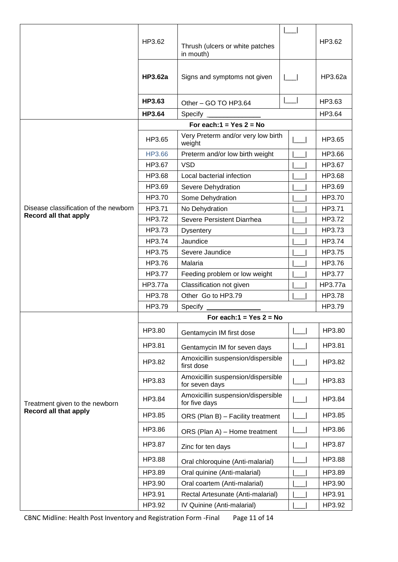|                                                                | HP3.62                     | Thrush (ulcers or white patches<br>in mouth)         |        | HP3.62  |  |
|----------------------------------------------------------------|----------------------------|------------------------------------------------------|--------|---------|--|
|                                                                | HP3.62a                    | Signs and symptoms not given                         |        | HP3.62a |  |
|                                                                | HP3.63                     | Other - GO TO HP3.64                                 |        | HP3.63  |  |
|                                                                | <b>HP3.64</b>              |                                                      |        | HP3.64  |  |
|                                                                |                            | For each: $1 = Yes$ 2 = No                           |        |         |  |
|                                                                | HP3.65                     | Very Preterm and/or very low birth<br>weight         |        | HP3.65  |  |
|                                                                | HP3.66                     | Preterm and/or low birth weight                      |        | HP3.66  |  |
| Disease classification of the newborn<br>Record all that apply | HP3.67                     | <b>VSD</b>                                           |        | HP3.67  |  |
|                                                                | HP3.68                     | Local bacterial infection                            |        | HP3.68  |  |
|                                                                | HP3.69                     | Severe Dehydration                                   |        | HP3.69  |  |
|                                                                | HP3.70                     | Some Dehydration                                     |        | HP3.70  |  |
|                                                                | HP3.71                     | No Dehydration                                       |        | HP3.71  |  |
|                                                                | HP3.72                     | Severe Persistent Diarrhea                           |        | HP3.72  |  |
|                                                                | HP3.73                     | <b>Dysentery</b>                                     |        | HP3.73  |  |
|                                                                | HP3.74                     | Jaundice                                             |        | HP3.74  |  |
|                                                                | HP3.75                     | Severe Jaundice                                      |        | HP3.75  |  |
|                                                                | HP3.76                     | Malaria                                              |        | HP3.76  |  |
|                                                                | HP3.77                     | Feeding problem or low weight                        |        | HP3.77  |  |
|                                                                | HP3.77a                    | Classification not given                             |        | HP3.77a |  |
|                                                                | HP3.78                     | Other Go to HP3.79                                   |        | HP3.78  |  |
|                                                                | HP3.79                     | Specify                                              | HP3.79 |         |  |
|                                                                | For each: $1 = Yes$ 2 = No |                                                      |        |         |  |
| Treatment given to the newborn<br>Record all that apply        | HP3.80                     | Gentamycin IM first dose                             |        | HP3.80  |  |
|                                                                | HP3.81                     | Gentamycin IM for seven days                         |        | HP3.81  |  |
|                                                                | HP3.82                     | Amoxicillin suspension/dispersible<br>first dose     |        | HP3.82  |  |
|                                                                | HP3.83                     | Amoxicillin suspension/dispersible<br>for seven days |        | HP3.83  |  |
|                                                                | HP3.84                     | Amoxicillin suspension/dispersible<br>for five days  |        | HP3.84  |  |
|                                                                | HP3.85                     | ORS (Plan B) - Facility treatment                    |        | HP3.85  |  |
|                                                                | HP3.86                     | ORS (Plan A) - Home treatment                        |        | HP3.86  |  |
|                                                                | HP3.87                     | Zinc for ten days                                    |        | HP3.87  |  |
|                                                                | HP3.88                     | Oral chloroquine (Anti-malarial)                     |        | HP3.88  |  |
|                                                                | HP3.89                     | Oral quinine (Anti-malarial)                         |        | HP3.89  |  |
|                                                                | HP3.90                     | Oral coartem (Anti-malarial)                         |        | HP3.90  |  |
|                                                                | HP3.91                     | Rectal Artesunate (Anti-malarial)                    |        | HP3.91  |  |
|                                                                | HP3.92                     | IV Quinine (Anti-malarial)                           |        | HP3.92  |  |

CBNC Midline: Health Post Inventory and Registration Form -Final Page 11 of 14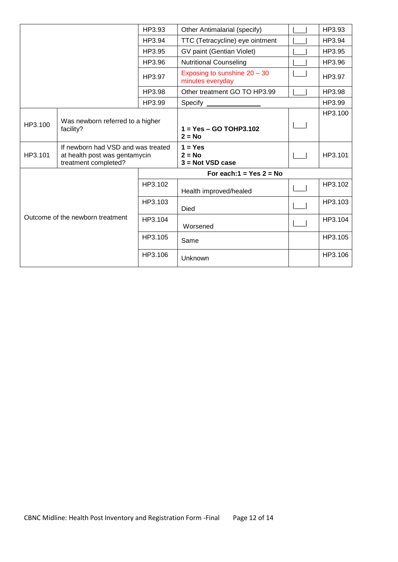|                                                                                        |                                                                                             | HP3.93                               | Other Antimalarial (specify)                     |         | HP3.93  |  |
|----------------------------------------------------------------------------------------|---------------------------------------------------------------------------------------------|--------------------------------------|--------------------------------------------------|---------|---------|--|
|                                                                                        |                                                                                             | HP3.94                               | TTC (Tetracycline) eye ointment                  |         | HP3.94  |  |
|                                                                                        |                                                                                             | HP3.95                               | GV paint (Gentian Violet)                        |         | HP3.95  |  |
|                                                                                        |                                                                                             | HP3.96                               | <b>Nutritional Counseling</b>                    |         | HP3.96  |  |
| HP3.97<br>HP3.98<br>HP3.99<br>Was newborn referred to a higher<br>HP3.100<br>facility? |                                                                                             |                                      | Exposing to sunshine 20 - 30<br>minutes everyday |         | HP3.97  |  |
|                                                                                        |                                                                                             |                                      | Other treatment GO TO HP3.99                     |         | HP3.98  |  |
|                                                                                        |                                                                                             |                                      | Specify __________                               |         | HP3.99  |  |
|                                                                                        |                                                                                             |                                      |                                                  |         | HP3.100 |  |
|                                                                                        |                                                                                             | $1 = Yes - GO TOHP3.102$<br>$2 = No$ |                                                  |         |         |  |
| HP3.101                                                                                | If newborn had VSD and was treated<br>at health post was gentamycin<br>treatment completed? |                                      | $1 = Yes$<br>$2 = No$<br>$3 = Not VSD case$      |         | HP3.101 |  |
|                                                                                        |                                                                                             | For each: $1 = Yes$ 2 = No           |                                                  |         |         |  |
| Outcome of the newborn treatment                                                       | HP3.102                                                                                     | Health improved/healed               |                                                  | HP3.102 |         |  |
|                                                                                        | HP3.103                                                                                     | <b>Died</b>                          |                                                  | HP3.103 |         |  |
|                                                                                        | HP3.104                                                                                     | Worsened                             |                                                  | HP3.104 |         |  |
|                                                                                        | HP3.105                                                                                     | Same                                 |                                                  | HP3.105 |         |  |
|                                                                                        | HP3.106                                                                                     | Unknown                              |                                                  | HP3.106 |         |  |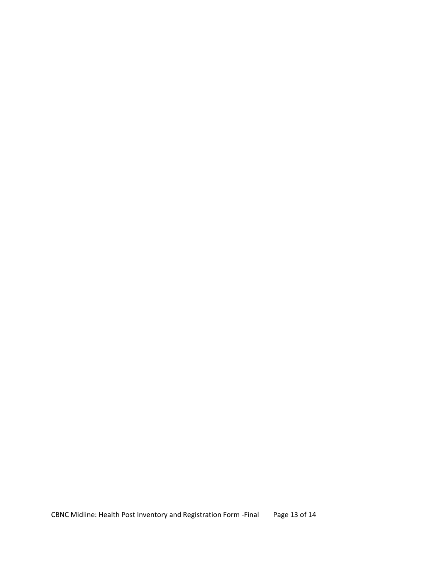CBNC Midline: Health Post Inventory and Registration Form -Final Page 13 of 14